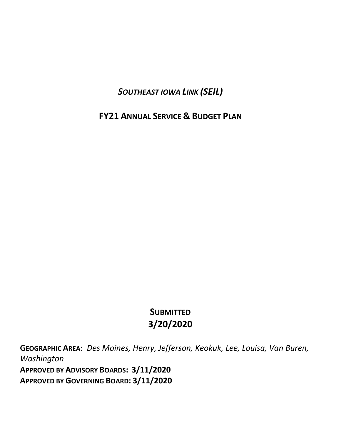*SOUTHEAST IOWA LINK (SEIL)*

**FY21 ANNUAL SERVICE & BUDGET PLAN**

# **SUBMITTED 3/20/2020**

**GEOGRAPHIC AREA**: *Des Moines, Henry, Jefferson, Keokuk, Lee, Louisa, Van Buren, Washington* **APPROVED BY ADVISORY BOARDS: 3/11/2020 APPROVED BY GOVERNING BOARD: 3/11/2020**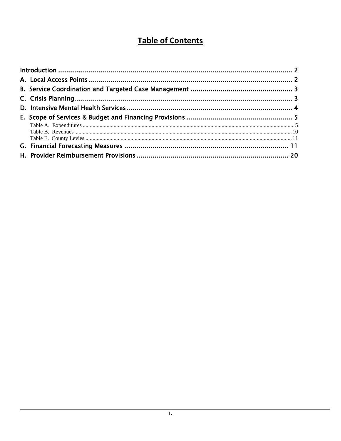# **Table of Contents**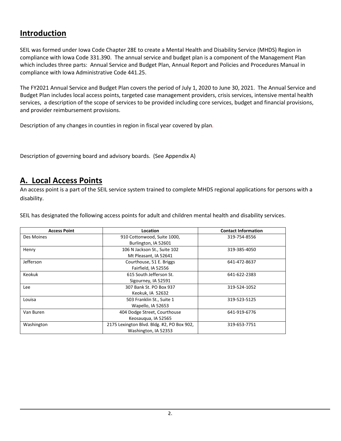# <span id="page-2-0"></span>**Introduction**

SEIL was formed under Iowa Code Chapter 28E to create a Mental Health and Disability Service (MHDS) Region in compliance with Iowa Code 331.390. The annual service and budget plan is a component of the Management Plan which includes three parts: Annual Service and Budget Plan, Annual Report and Policies and Procedures Manual in compliance with Iowa Administrative Code 441.25.

The FY2021 Annual Service and Budget Plan covers the period of July 1, 2020 to June 30, 2021. The Annual Service and Budget Plan includes local access points, targeted case management providers, crisis services, intensive mental health services, a description of the scope of services to be provided including core services, budget and financial provisions, and provider reimbursement provisions.

Description of any changes in counties in region in fiscal year covered by plan*.*

Description of governing board and advisory boards. (See Appendix A)

## <span id="page-2-1"></span>**A. Local Access Points**

An access point is a part of the SEIL service system trained to complete MHDS regional applications for persons with a disability.

SEIL has designated the following access points for adult and children mental health and disability services.

| <b>Access Point</b> | Location                                                           | <b>Contact Information</b> |
|---------------------|--------------------------------------------------------------------|----------------------------|
| Des Moines          | 910 Cottonwood, Suite 1000,<br>Burlington, IA 52601                | 319-754-8556               |
| Henry               | 106 N Jackson St., Suite 102<br>Mt Pleasant, IA 52641              | 319-385-4050               |
| Jefferson           | Courthouse, 51 E. Briggs<br>Fairfield, IA 52556                    | 641-472-8637               |
| <b>Keokuk</b>       | 615 South Jefferson St.<br>Sigourney, IA 52591                     | 641-622-2383               |
| Lee                 | 307 Bank St. PO Box 937<br>Keokuk, IA 52632                        | 319-524-1052               |
| Louisa              | 503 Franklin St., Suite 1<br>Wapello, IA 52653                     | 319-523-5125               |
| Van Buren           | 404 Dodge Street, Courthouse<br>Keosaugua, IA 52565                | 641-919-6776               |
| Washington          | 2175 Lexington Blvd. Bldg. #2, PO Box 902,<br>Washington, IA 52353 | 319-653-7751               |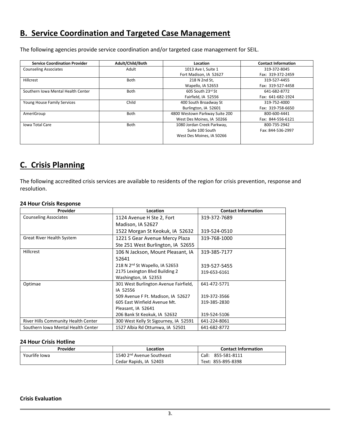## <span id="page-3-0"></span>**B. Service Coordination and Targeted Case Management**

The following agencies provide service coordination and/or targeted case management for SEIL.

| <b>Service Coordination Provider</b> | Adult/Child/Both | Location                       | <b>Contact Information</b> |
|--------------------------------------|------------------|--------------------------------|----------------------------|
| <b>Counseling Associates</b>         | Adult            | 1013 Ave I, Suite 1            | 319-372-8045               |
|                                      |                  | Fort Madison, IA 52627         | Fax: 319-372-2459          |
| Hillcrest                            | <b>Both</b>      | 218 N 2nd St,                  | 319-527-4455               |
|                                      |                  | Wapello, IA 52653              | Fax: 319-527-4458          |
| Southern Iowa Mental Health Center   | <b>Both</b>      | 605 South 23rd St              | 641-682-8772               |
|                                      |                  | Fairfield, IA 52556            | Fax: 641-682-1924          |
| Young House Family Services          | Child            | 400 South Broadway St          | 319-752-4000               |
|                                      |                  | Burlington, IA 52601           | Fax: 319-758-6650          |
| AmeriGroup                           | <b>Both</b>      | 4800 Westown Parkway Suite 200 | 800-600-4441               |
|                                      |                  | West Des Moines, IA 50266      | Fax: 844-556-6121          |
| <b>Iowa Total Care</b>               | <b>Both</b>      | 1080 Jordan Creek Parkway,     | 800-735-2942               |
|                                      |                  | Suite 100 South                | Fax: 844-536-2997          |
|                                      |                  | West Des Moines. IA 50266      |                            |
|                                      |                  |                                |                            |

# <span id="page-3-1"></span>**C. Crisis Planning**

The following accredited crisis services are available to residents of the region for crisis prevention, response and resolution.

#### **24 Hour Crisis Response**

| Provider                            | <b>Location</b>                            | <b>Contact Information</b> |
|-------------------------------------|--------------------------------------------|----------------------------|
| <b>Counseling Associates</b>        | 1124 Avenue H Ste 2, Fort                  | 319-372-7689               |
|                                     | Madison, IA 52627                          |                            |
|                                     | 1522 Morgan St Keokuk, IA 52632            | 319-524-0510               |
| <b>Great River Health System</b>    | 1221 S Gear Avenue Mercy Plaza             | 319-768-1000               |
|                                     | Ste 251 West Burlington, IA 52655          |                            |
| Hillcrest                           | 106 N Jackson, Mount Pleasant, IA          | 319-385-7177               |
|                                     | 52641                                      |                            |
|                                     | 218 N 2 <sup>nd</sup> St Wapello, IA 52653 | 319-527-5455               |
|                                     | 2175 Lexington Blvd Building 2             | 319-653-6161               |
|                                     | Washington, IA 52353                       |                            |
| Optimae                             | 301 West Burlington Avenue Fairfield,      | 641-472-5771               |
|                                     | IA 52556                                   |                            |
|                                     | 509 Avenue F Ft. Madison, IA 52627         | 319-372-3566               |
|                                     | 605 East Winfield Avenue Mt.               | 319-385-2830               |
|                                     | Pleasant, IA 52641                         |                            |
|                                     | 206 Bank St Keokuk, IA 52632               | 319-524-5106               |
| River Hills Community Health Center | 300 West Kelly St Sigourney, IA 52591      | 641-224-8061               |
| Southern Iowa Mental Health Center  | 1527 Albia Rd Ottumwa, IA 52501            | 641-682-8772               |

#### **24 Hour Crisis Hotline**

| Provider      | Location                              | <b>Contact Information</b> |
|---------------|---------------------------------------|----------------------------|
| Yourlife Iowa | 1540 2 <sup>nd</sup> Avenue Southeast | Call: 855-581-8111         |
|               | Cedar Rapids, IA 52403                | Text: 855-895-8398         |

#### **Crisis Evaluation**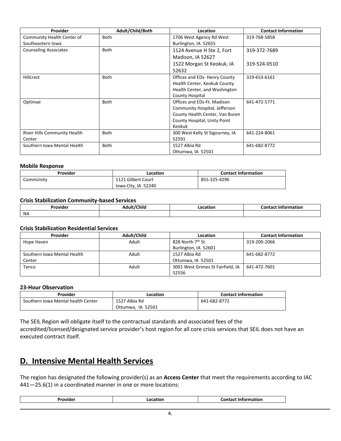| <b>Provider</b>              | Adult/Child/Both | Location                        | <b>Contact Information</b> |
|------------------------------|------------------|---------------------------------|----------------------------|
| Community Health Center of   | Both             | 1706 West Agency Rd West        | 319-768-5858               |
| Southeastern Iowa            |                  | Burlington, IA 52655            |                            |
| <b>Counseling Associates</b> | Both             | 1124 Avenue H Ste 2, Fort       | 319-372-7689               |
|                              |                  | Madison, IA 52627               |                            |
|                              |                  | 1522 Morgan St Keokuk, IA       | 319-524-0510               |
|                              |                  | 52632                           |                            |
| Hillcrest                    | <b>Both</b>      | Offices and EDs- Henry County   | 319-653-6161               |
|                              |                  | Health Center, Keokuk County    |                            |
|                              |                  | Health Center, and Washington   |                            |
|                              |                  | County Hospital                 |                            |
| Optimae                      | <b>Both</b>      | Offices and EDs-Ft. Madison     | 641-472-5771               |
|                              |                  | Community Hospital, Jefferson   |                            |
|                              |                  | County Health Center, Van Buren |                            |
|                              |                  | County Hospital, Unity Point    |                            |
|                              |                  | Keokuk                          |                            |
| River Hills Community Health | Both             | 300 West Kelly St Sigourney, IA | 641-224-8061               |
| Center                       |                  | 52591                           |                            |
| Southern Iowa Mental Health  | <b>Both</b>      | 1527 Albia Rd                   | 641-682-8772               |
|                              |                  | Ottumwa, IA 52501               |                            |

#### **Mobile Response**

| Provider  | Location            | <b>Contact Information</b> |
|-----------|---------------------|----------------------------|
| CommUnity | 1121 Gilbert Court  | 855-325-4296               |
|           | lowa City, IA 52240 |                            |

#### **Crisis Stabilization Community-based Services**

| Provider  | <b>Hult/Chila</b> | cation. | Contact Information |
|-----------|-------------------|---------|---------------------|
| <b>NA</b> |                   |         |                     |

#### **Crisis Stabilization Residential Services**

| Provider                    | Adult/Child | Location                          | <b>Contact Information</b> |
|-----------------------------|-------------|-----------------------------------|----------------------------|
| Hope Haven                  | Adult       | 828 North 7 <sup>th</sup> St      | 319-209-2066               |
|                             |             | Burlington, IA 52601              |                            |
| Southern Iowa Mental Health | Adult       | 1527 Albia Rd                     | 641-682-8772               |
| Center                      |             | Ottumwa, IA 52501                 |                            |
| Tenco                       | Adult       | 3001 West Grimes St Fairfield, IA | 641-472-7601               |
|                             |             | 52556                             |                            |

#### **23-Hour Observation**

| Provider                           | Location          | <b>Contact Information</b> |
|------------------------------------|-------------------|----------------------------|
| Southern Iowa Mental health Center | 1527 Albia Rd     | 641-682-8772               |
|                                    | Ottumwa. IA 52501 |                            |

The SEIL Region will obligate itself to the contractual standards and associated fees of the accredited/licensed/designated service provider's host region for all core crisis services that SEIL does not have an executed contract itself.

## <span id="page-4-0"></span>**D. Intensive Mental Health Services**

The region has designated the following provider(s) as an **Access Center** that meet the requirements according to IAC 441—25.6(1) in a coordinated manner in one or more locations:

| ovic | ס ו<br>arıoı | .<br>tıor<br>INT |
|------|--------------|------------------|
|------|--------------|------------------|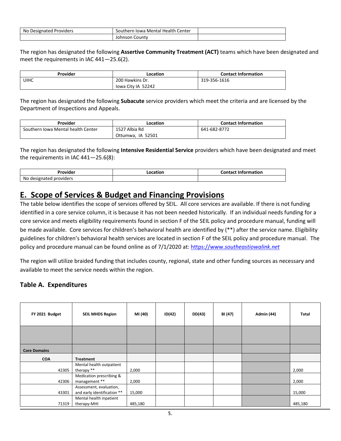| . Mental Health<br>No<br>Center<br><b>Providers</b><br>Designated<br>thern<br>Towa |                   |  |
|------------------------------------------------------------------------------------|-------------------|--|
|                                                                                    | County<br>Johnson |  |

The region has designated the following **Assertive Community Treatment (ACT)** teams which have been designated and meet the requirements in IAC 441—25.6(2).

| Provider    | Location           | <b>Contact Information</b> |
|-------------|--------------------|----------------------------|
| <b>UIHC</b> | 200 Hawkins Dr.    | 319-356-1616               |
|             | lowa City IA 52242 |                            |

The region has designated the following **Subacute** service providers which meet the criteria and are licensed by the Department of Inspections and Appeals.

| Provider                           | Location          | <b>Contact Information</b> |
|------------------------------------|-------------------|----------------------------|
| Southern Iowa Mental health Center | 1527 Albia Rd     | 641-682-8772               |
|                                    | Ottumwa, IA 52501 |                            |

The region has designated the following **Intensive Residential Service** providers which have been designated and meet the requirements in IAC 441—25.6(8):

| Provider                   | Location | Contact Information |
|----------------------------|----------|---------------------|
| No<br>designated providers |          |                     |

## <span id="page-5-0"></span>**E. Scope of Services & Budget and Financing Provisions**

The table below identifies the scope of services offered by SEIL. All core services are available. If there is not funding identified in a core service column, it is because it has not been needed historically. If an individual needs funding for a core service and meets eligibility requirements found in section F of the SEIL policy and procedure manual, funding will be made available. Core services for children's behavioral health are identified by (\*\*) after the service name. Eligibility guidelines for children's behavioral health services are located in section F of the SEIL policy and procedure manual. The policy and procedure manual can be found online as of 7/1/2020 at: https://www.*[southeastiowalink.net](https://www.southeastiowalink.net/)*

The region will utilize braided funding that includes county, regional, state and other funding sources as necessary and available to meet the service needs within the region.

## <span id="page-5-1"></span>**Table A. Expenditures**

| FY 2021 Budget      | <b>SEIL MHDS Region</b>                                | MI (40) | ID(42) | DD(43) | BI (47) | <b>Admin (44)</b> | Total   |
|---------------------|--------------------------------------------------------|---------|--------|--------|---------|-------------------|---------|
|                     |                                                        |         |        |        |         |                   |         |
| <b>Core Domains</b> |                                                        |         |        |        |         |                   |         |
| <b>COA</b>          | Treatment                                              |         |        |        |         |                   |         |
| 42305               | Mental health outpatient<br>therapy **                 | 2,000   |        |        |         |                   | 2,000   |
| 42306               | Medication prescribing &<br>management **              | 2,000   |        |        |         |                   | 2,000   |
| 43301               | Assessment, evaluation,<br>and early identification ** | 15,000  |        |        |         |                   | 15,000  |
| 71319               | Mental health inpatient<br>therapy-MHI                 | 485,180 |        |        |         |                   | 485,180 |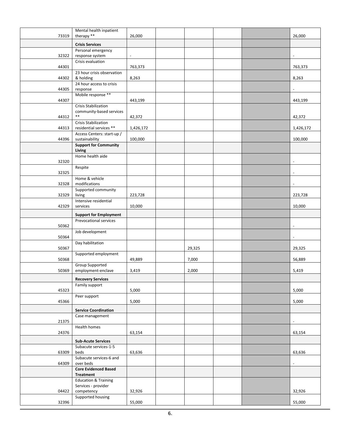|       | Mental health inpatient                         |                |        |  |                          |
|-------|-------------------------------------------------|----------------|--------|--|--------------------------|
| 73319 | therapy **                                      | 26,000         |        |  | 26,000                   |
|       | <b>Crisis Services</b>                          |                |        |  |                          |
| 32322 | Personal emergency<br>response system           | $\blacksquare$ |        |  | $\blacksquare$           |
| 44301 | Crisis evaluation                               | 763,373        |        |  | 763,373                  |
|       | 23 hour crisis observation                      |                |        |  |                          |
| 44302 | & holding<br>24 hour access to crisis           | 8,263          |        |  | 8,263                    |
| 44305 | response                                        |                |        |  | $\blacksquare$           |
| 44307 | Mobile response **                              | 443,199        |        |  | 443,199                  |
|       | <b>Crisis Stabilization</b>                     |                |        |  |                          |
|       | community-based services<br>$***$               |                |        |  |                          |
| 44312 | Crisis Stabilization                            | 42,372         |        |  | 42,372                   |
| 44313 | residential services **                         | 1,426,172      |        |  | 1,426,172                |
|       | Access Centers: start-up /                      |                |        |  |                          |
| 44396 | sustainability                                  | 100,000        |        |  | 100,000                  |
|       | <b>Support for Community</b><br>Living          |                |        |  |                          |
| 32320 | Home health aide                                |                |        |  | $\overline{\phantom{a}}$ |
| 32325 | Respite                                         |                |        |  | $\blacksquare$           |
|       | Home & vehicle                                  |                |        |  |                          |
| 32328 | modifications                                   |                |        |  | $\blacksquare$           |
| 32329 | Supported community<br>living                   | 223,728        |        |  | 223,728                  |
| 42329 | Intensive residential<br>services               | 10,000         |        |  | 10,000                   |
|       | <b>Support for Employment</b>                   |                |        |  |                          |
| 50362 | Prevocational services                          |                |        |  | $\blacksquare$           |
| 50364 | Job development                                 |                |        |  | $\overline{\phantom{a}}$ |
| 50367 | Day habilitation                                |                | 29,325 |  | 29,325                   |
|       | Supported employment                            |                |        |  |                          |
| 50368 |                                                 | 49,889         | 7,000  |  | 56,889                   |
| 50369 | Group Supported<br>employment-enclave           | 3,419          | 2,000  |  | 5,419                    |
|       |                                                 |                |        |  |                          |
|       | <b>Recovery Services</b>                        |                |        |  |                          |
| 45323 | Family support                                  | 5,000          |        |  | 5,000                    |
| 45366 | Peer support                                    | 5,000          |        |  |                          |
|       | <b>Service Coordination</b>                     |                |        |  | 5,000                    |
|       | Case management                                 |                |        |  |                          |
| 21375 | Health homes                                    |                |        |  | $\overline{\phantom{a}}$ |
| 24376 |                                                 | 63,154         |        |  | 63,154                   |
|       | <b>Sub-Acute Services</b>                       |                |        |  |                          |
|       | Subacute services-1-5                           |                |        |  |                          |
| 63309 | beds<br>Subacute services-6 and                 | 63,636         |        |  | 63,636                   |
| 64309 | over beds                                       |                |        |  |                          |
|       | <b>Core Evidenced Based</b><br><b>Treatment</b> |                |        |  |                          |
|       | <b>Education &amp; Training</b>                 |                |        |  |                          |
|       | Services - provider                             |                |        |  |                          |
| 04422 | competency<br>Supported housing                 | 32,926         |        |  | 32,926                   |
| 32396 |                                                 | 55,000         |        |  | 55,000                   |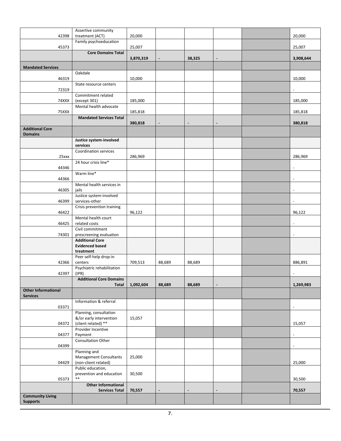|                            | Assertive community                            |           |                          |        |                |                          |
|----------------------------|------------------------------------------------|-----------|--------------------------|--------|----------------|--------------------------|
| 42398                      | treatment (ACT)                                | 20,000    |                          |        |                | 20,000                   |
|                            | Family psychoeducation                         |           |                          |        |                |                          |
| 45373                      |                                                | 25,007    |                          |        |                | 25,007                   |
|                            | <b>Core Domains Total</b>                      | 3,870,319 | $\overline{\phantom{a}}$ | 38,325 | $\blacksquare$ | 3,908,644                |
|                            |                                                |           |                          |        |                |                          |
| <b>Mandated Services</b>   | Oakdale                                        |           |                          |        |                |                          |
| 46319                      |                                                | 10,000    |                          |        |                | 10,000                   |
|                            | State resource centers                         |           |                          |        |                |                          |
| 72319                      |                                                |           |                          |        |                |                          |
|                            | Commitment related                             |           |                          |        |                |                          |
| 74XXX                      | (except 301)                                   | 185,000   |                          |        |                | 185,000                  |
| 75XXX                      | Mental health advocate                         | 185,818   |                          |        |                | 185,818                  |
|                            | <b>Mandated Services Total</b>                 |           |                          |        |                |                          |
|                            |                                                | 380,818   |                          |        |                | 380,818                  |
| <b>Additional Core</b>     |                                                |           |                          |        |                |                          |
| <b>Domains</b>             |                                                |           |                          |        |                |                          |
|                            | Justice system-involved<br>services            |           |                          |        |                |                          |
|                            | <b>Coordination services</b>                   |           |                          |        |                |                          |
| 25xxx                      |                                                | 286,969   |                          |        |                | 286,969                  |
|                            | 24 hour crisis line*                           |           |                          |        |                |                          |
| 44346                      |                                                |           |                          |        |                | $\overline{a}$           |
| 44366                      | Warm line*                                     |           |                          |        |                | $\overline{\phantom{a}}$ |
|                            | Mental health services in                      |           |                          |        |                |                          |
| 46305                      | jails                                          |           |                          |        |                | $\blacksquare$           |
|                            | Justice system-involved                        |           |                          |        |                |                          |
| 46399                      | services-other                                 |           |                          |        |                | $\overline{\phantom{a}}$ |
| 46422                      | Crisis prevention training                     | 96,122    |                          |        |                | 96,122                   |
|                            | Mental health court                            |           |                          |        |                |                          |
| 46425                      | related costs                                  |           |                          |        |                | $\blacksquare$           |
|                            | Civil commitment                               |           |                          |        |                |                          |
| 74301                      | prescreening evaluation                        |           |                          |        |                |                          |
|                            | <b>Additional Core</b>                         |           |                          |        |                |                          |
|                            | <b>Evidenced based</b><br>treatment            |           |                          |        |                |                          |
|                            | Peer self-help drop-in                         |           |                          |        |                |                          |
| 42366                      | centers                                        | 709,513   | 88,689                   | 88,689 |                | 886,891                  |
|                            | Psychiatric rehabilitation                     |           |                          |        |                |                          |
| 42397                      | (IPR)                                          |           |                          |        |                |                          |
|                            | <b>Additional Core Domains</b><br><b>Total</b> | 1,092,604 | 88,689                   | 88,689 |                | 1,269,983                |
| <b>Other Informational</b> |                                                |           |                          |        |                |                          |
| <b>Services</b>            |                                                |           |                          |        |                |                          |
|                            | Information & referral                         |           |                          |        |                |                          |
| 03371                      | Planning, consultation                         |           |                          |        |                | $\sim$                   |
|                            | &/or early intervention                        | 15,057    |                          |        |                |                          |
| 04372                      | (client related) **                            |           |                          |        |                | 15,057                   |
|                            | Provider Incentive                             |           |                          |        |                |                          |
| 04377                      | Payment                                        |           |                          |        |                | $\overline{\phantom{a}}$ |
| 04399                      | Consultation Other                             |           |                          |        |                | $\overline{\phantom{a}}$ |
|                            | Planning and                                   |           |                          |        |                |                          |
|                            | Management Consultants                         | 25,000    |                          |        |                |                          |
| 04429                      | (non-client related)                           |           |                          |        |                | 25,000                   |
|                            | Public education,                              |           |                          |        |                |                          |
| 05373                      | prevention and education<br>$\ast\ast$         | 30,500    |                          |        |                | 30,500                   |
|                            | <b>Other Informational</b>                     |           |                          |        |                |                          |
|                            | <b>Services Total</b>                          | 70,557    |                          |        |                | 70,557                   |
| <b>Community Living</b>    |                                                |           |                          |        |                |                          |
| <b>Supports</b>            |                                                |           |                          |        |                |                          |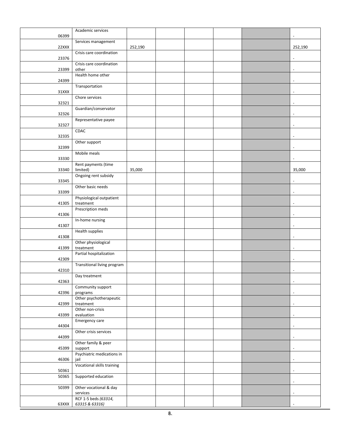|       | Academic services           |         |  |  |                          |
|-------|-----------------------------|---------|--|--|--------------------------|
| 06399 |                             |         |  |  |                          |
|       | Services management         |         |  |  |                          |
| 22XXX |                             | 252,190 |  |  | 252,190                  |
|       | Crisis care coordination    |         |  |  |                          |
| 23376 |                             |         |  |  | $\overline{\phantom{a}}$ |
|       | Crisis care coordination    |         |  |  |                          |
| 23399 | other                       |         |  |  | $\Box$                   |
|       | Health home other           |         |  |  |                          |
| 24399 |                             |         |  |  | $\overline{\phantom{a}}$ |
|       | Transportation              |         |  |  |                          |
| 31XXX |                             |         |  |  | $\overline{\phantom{a}}$ |
|       | Chore services              |         |  |  |                          |
| 32321 |                             |         |  |  | $\overline{\phantom{a}}$ |
|       | Guardian/conservator        |         |  |  |                          |
| 32326 |                             |         |  |  | $\overline{\phantom{a}}$ |
|       | Representative payee        |         |  |  |                          |
| 32327 |                             |         |  |  | $\overline{\phantom{a}}$ |
|       | CDAC                        |         |  |  |                          |
| 32335 |                             |         |  |  | $\blacksquare$           |
|       | Other support               |         |  |  |                          |
| 32399 |                             |         |  |  | $\blacksquare$           |
|       | Mobile meals                |         |  |  |                          |
| 33330 |                             |         |  |  | $\overline{\phantom{a}}$ |
|       | Rent payments (time         |         |  |  |                          |
| 33340 | limited)                    | 35,000  |  |  | 35,000                   |
|       | Ongoing rent subsidy        |         |  |  |                          |
| 33345 |                             |         |  |  | $\blacksquare$           |
|       | Other basic needs           |         |  |  |                          |
| 33399 |                             |         |  |  | $\overline{\phantom{a}}$ |
|       | Physiological outpatient    |         |  |  |                          |
| 41305 | treatment                   |         |  |  | $\blacksquare$           |
|       | Prescription meds           |         |  |  |                          |
| 41306 |                             |         |  |  | $\sim$                   |
|       | In-home nursing             |         |  |  |                          |
| 41307 |                             |         |  |  | $\overline{\phantom{a}}$ |
|       | Health supplies             |         |  |  |                          |
| 41308 |                             |         |  |  | $\blacksquare$           |
|       | Other physiological         |         |  |  |                          |
| 41399 | treatment                   |         |  |  | $\blacksquare$           |
|       | Partial hospitalization     |         |  |  |                          |
| 42309 |                             |         |  |  | $\blacksquare$           |
|       | Transitional living program |         |  |  |                          |
| 42310 |                             |         |  |  | $\blacksquare$           |
|       | Day treatment               |         |  |  |                          |
| 42363 |                             |         |  |  | $\blacksquare$           |
|       | Community support           |         |  |  |                          |
| 42396 | programs                    |         |  |  | $\overline{\phantom{a}}$ |
|       | Other psychotherapeutic     |         |  |  |                          |
| 42399 | treatment                   |         |  |  | $\blacksquare$           |
|       | Other non-crisis            |         |  |  |                          |
| 43399 | evaluation                  |         |  |  | $\overline{\phantom{a}}$ |
|       | Emergency care              |         |  |  |                          |
| 44304 |                             |         |  |  | $\blacksquare$           |
|       | Other crisis services       |         |  |  |                          |
| 44399 |                             |         |  |  | $\overline{\phantom{a}}$ |
|       | Other family & peer         |         |  |  |                          |
| 45399 | support                     |         |  |  | $\overline{\phantom{a}}$ |
|       | Psychiatric medications in  |         |  |  |                          |
| 46306 | jail                        |         |  |  | $\sim$                   |
|       | Vocational skills training  |         |  |  |                          |
| 50361 |                             |         |  |  | $\blacksquare$           |
| 50365 | Supported education         |         |  |  |                          |
|       |                             |         |  |  | $\overline{\phantom{a}}$ |
| 50399 | Other vocational & day      |         |  |  |                          |
|       | services                    |         |  |  | $\overline{\phantom{a}}$ |
|       | RCF 1-5 beds (63314,        |         |  |  |                          |
| 63XXX | 63315 & 63316)              |         |  |  |                          |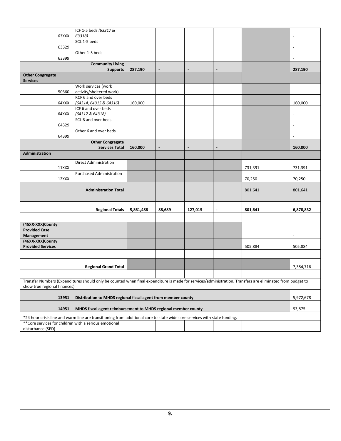|                                                        | ICF 1-5 beds (63317 &                                                                                                                                     |           |        |         |                |           |                          |
|--------------------------------------------------------|-----------------------------------------------------------------------------------------------------------------------------------------------------------|-----------|--------|---------|----------------|-----------|--------------------------|
| 63XXX                                                  | 63318)                                                                                                                                                    |           |        |         |                |           |                          |
|                                                        | SCL 1-5 beds                                                                                                                                              |           |        |         |                |           | $\overline{\phantom{a}}$ |
| 63329                                                  | Other 1-5 beds                                                                                                                                            |           |        |         |                |           |                          |
| 63399                                                  |                                                                                                                                                           |           |        |         |                |           | $\overline{\phantom{a}}$ |
|                                                        | <b>Community Living</b>                                                                                                                                   |           |        |         |                |           |                          |
|                                                        | <b>Supports</b>                                                                                                                                           | 287,190   |        |         |                |           | 287,190                  |
| <b>Other Congregate</b><br><b>Services</b>             |                                                                                                                                                           |           |        |         |                |           |                          |
|                                                        | Work services (work                                                                                                                                       |           |        |         |                |           |                          |
| 50360                                                  | activity/sheltered work)                                                                                                                                  |           |        |         |                |           | $\overline{\phantom{a}}$ |
| 64XXX                                                  | RCF 6 and over beds<br>(64314, 64315 & 64316)                                                                                                             | 160,000   |        |         |                |           | 160,000                  |
|                                                        | ICF 6 and over beds                                                                                                                                       |           |        |         |                |           |                          |
| 64XXX                                                  | (64317 & 64318)                                                                                                                                           |           |        |         |                |           | $\overline{a}$           |
|                                                        | SCL 6 and over beds                                                                                                                                       |           |        |         |                |           |                          |
| 64329                                                  |                                                                                                                                                           |           |        |         |                |           | $\overline{\phantom{a}}$ |
|                                                        | Other 6 and over beds                                                                                                                                     |           |        |         |                |           |                          |
| 64399                                                  |                                                                                                                                                           |           |        |         |                |           | $\blacksquare$           |
|                                                        | <b>Other Congregate</b>                                                                                                                                   |           |        |         |                |           |                          |
| Administration                                         | <b>Services Total</b>                                                                                                                                     | 160,000   |        |         |                |           | 160,000                  |
|                                                        |                                                                                                                                                           |           |        |         |                |           |                          |
| 11XXX                                                  | <b>Direct Administration</b>                                                                                                                              |           |        |         |                | 731,391   | 731,391                  |
|                                                        | <b>Purchased Administration</b>                                                                                                                           |           |        |         |                |           |                          |
| 12XXX                                                  |                                                                                                                                                           |           |        |         |                | 70,250    | 70,250                   |
|                                                        | <b>Administration Total</b>                                                                                                                               |           |        |         |                | 801,641   | 801,641                  |
|                                                        |                                                                                                                                                           |           |        |         |                |           |                          |
|                                                        |                                                                                                                                                           |           |        |         |                |           |                          |
|                                                        | <b>Regional Totals</b>                                                                                                                                    | 5,861,488 | 88,689 | 127,015 | $\blacksquare$ | 801,641   | 6,878,832                |
|                                                        |                                                                                                                                                           |           |        |         |                |           |                          |
| (45XX-XXX)County                                       |                                                                                                                                                           |           |        |         |                |           |                          |
| <b>Provided Case</b>                                   |                                                                                                                                                           |           |        |         |                |           |                          |
| Management<br>(46XX-XXX)County                         |                                                                                                                                                           |           |        |         |                |           | $\overline{\phantom{a}}$ |
| <b>Provided Services</b>                               |                                                                                                                                                           |           |        |         |                | 505,884   | 505,884                  |
|                                                        |                                                                                                                                                           |           |        |         |                |           |                          |
|                                                        |                                                                                                                                                           |           |        |         |                |           |                          |
|                                                        | <b>Regional Grand Total</b>                                                                                                                               |           |        |         |                |           | 7,384,716                |
|                                                        |                                                                                                                                                           |           |        |         |                |           |                          |
| show true regional finances)                           | Transfer Numbers (Expenditures should only be counted when final expenditure is made for services/administration. Transfers are eliminated from budget to |           |        |         |                |           |                          |
|                                                        |                                                                                                                                                           |           |        |         |                |           |                          |
| 13951                                                  | Distribution to MHDS regional fiscal agent from member county                                                                                             |           |        |         |                | 5,972,678 |                          |
| 14951                                                  | MHDS fiscal agent reimbursement to MHDS regional member county                                                                                            |           |        |         |                |           | 93,875                   |
|                                                        | *24 hour crisis line and warm line are transitioning from additional core to state wide core services with state funding.                                 |           |        |         |                |           |                          |
| ** Core services for children with a serious emotional |                                                                                                                                                           |           |        |         |                |           |                          |
| disturbance (SED)                                      |                                                                                                                                                           |           |        |         |                |           |                          |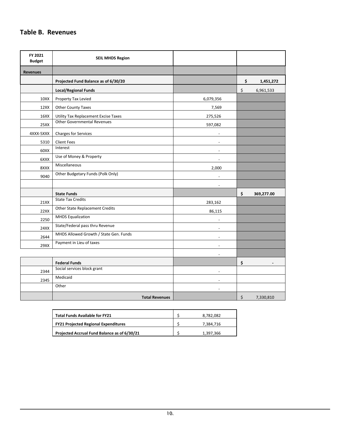## <span id="page-10-0"></span>**Table B. Revenues**

| FY 2021<br><b>Budget</b> | <b>SEIL MHDS Region</b>                |                          |                  |
|--------------------------|----------------------------------------|--------------------------|------------------|
| <b>Revenues</b>          |                                        |                          |                  |
|                          | Projected Fund Balance as of 6/30/20   |                          | \$<br>1,451,272  |
|                          | <b>Local/Regional Funds</b>            |                          | \$<br>6,961,533  |
| 10XX                     | Property Tax Levied                    | 6,079,356                |                  |
| 12XX                     | Other County Taxes                     | 7,569                    |                  |
| 16XX                     | Utility Tax Replacement Excise Taxes   | 275,526                  |                  |
| 25XX                     | <b>Other Governmental Revenues</b>     | 597,082                  |                  |
| 4XXX-5XXX                | <b>Charges for Services</b>            |                          |                  |
| 5310                     | <b>Client Fees</b>                     |                          |                  |
| 60XX                     | Interest                               |                          |                  |
| 6XXX                     | Use of Money & Property                |                          |                  |
| 8XXX                     | Miscellaneous                          | 2,000                    |                  |
| 9040                     | Other Budgetary Funds (Polk Only)      |                          |                  |
|                          |                                        |                          |                  |
|                          | <b>State Funds</b>                     |                          | \$<br>369,277.00 |
| 21XX                     | <b>State Tax Credits</b>               | 283,162                  |                  |
| 22XX                     | Other State Replacement Credits        | 86,115                   |                  |
| 2250                     | <b>MHDS Equalization</b>               |                          |                  |
| 24XX                     | State/Federal pass thru Revenue        |                          |                  |
| 2644                     | MHDS Allowed Growth / State Gen. Funds |                          |                  |
| 29XX                     | Payment in Lieu of taxes               |                          |                  |
|                          |                                        |                          |                  |
|                          | <b>Federal Funds</b>                   |                          | \$               |
| 2344                     | Social services block grant            |                          |                  |
| 2345                     | Medicaid                               | $\overline{\phantom{a}}$ |                  |
|                          | Other                                  |                          |                  |
|                          | <b>Total Revenues</b>                  |                          | \$<br>7,330,810  |

| <b>Total Funds Available for FY21</b>        | 8.782.082 |
|----------------------------------------------|-----------|
| <b>FY21 Projected Regional Expenditures</b>  | 7.384.716 |
| Projected Accrual Fund Balance as of 6/30/21 | 1.397.366 |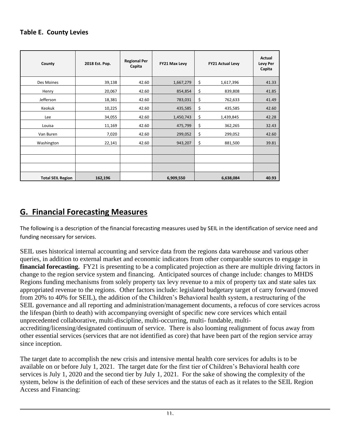## <span id="page-11-0"></span>**Table E. County Levies**

| County                   | 2018 Est. Pop. | <b>Regional Per</b><br>Capita | FY21 Max Levy | <b>FY21 Actual Levy</b> | Actual<br>Levy Per<br>Capita |
|--------------------------|----------------|-------------------------------|---------------|-------------------------|------------------------------|
| Des Moines               | 39,138         | 42.60                         | 1,667,279     | \$<br>1,617,396         | 41.33                        |
| Henry                    | 20,067         | 42.60                         | 854,854       | \$<br>839,808           | 41.85                        |
| Jefferson                | 18,381         | 42.60                         | 783,031       | \$<br>762,633           | 41.49                        |
| Keokuk                   | 10,225         | 42.60                         | 435,585       | \$<br>435,585           | 42.60                        |
| Lee                      | 34,055         | 42.60                         | 1,450,743     | \$<br>1,439,845         | 42.28                        |
| Louisa                   | 11,169         | 42.60                         | 475,799       | \$<br>362,265           | 32.43                        |
| Van Buren                | 7,020          | 42.60                         | 299,052       | \$<br>299,052           | 42.60                        |
| Washington               | 22,141         | 42.60                         | 943,207       | \$<br>881,500           | 39.81                        |
|                          |                |                               |               |                         |                              |
|                          |                |                               |               |                         |                              |
|                          |                |                               |               |                         |                              |
| <b>Total SEIL Region</b> | 162,196        |                               | 6,909,550     | 6,638,084               | 40.93                        |

# <span id="page-11-1"></span>**G. Financial Forecasting Measures**

The following is a description of the financial forecasting measures used by SEIL in the identification of service need and funding necessary for services.

SEIL uses historical internal accounting and service data from the regions data warehouse and various other queries, in addition to external market and economic indicators from other comparable sources to engage in **financial forecasting.** FY21 is presenting to be a complicated projection as there are multiple driving factors in change to the region service system and financing. Anticipated sources of change include: changes to MHDS Regions funding mechanisms from solely property tax levy revenue to a mix of property tax and state sales tax appropriated revenue to the regions. Other factors include: legislated budgetary target of carry forward (moved from 20% to 40% for SEIL), the addition of the Children's Behavioral health system, a restructuring of the SEIL governance and all reporting and administration/management documents, a refocus of core services across the lifespan (birth to death) with accompanying oversight of specific new core services which entail unprecedented collaborative, multi-discipline, multi-occurring, multi- fundable, multiaccrediting/licensing/designated continuum of service. There is also looming realignment of focus away from other essential services (services that are not identified as core) that have been part of the region service array since inception.

The target date to accomplish the new crisis and intensive mental health core services for adults is to be available on or before July 1, 2021. The target date for the first tier of Children's Behavioral health core services is July 1, 2020 and the second tier by July 1, 2021. For the sake of showing the complexity of the system, below is the definition of each of these services and the status of each as it relates to the SEIL Region Access and Financing: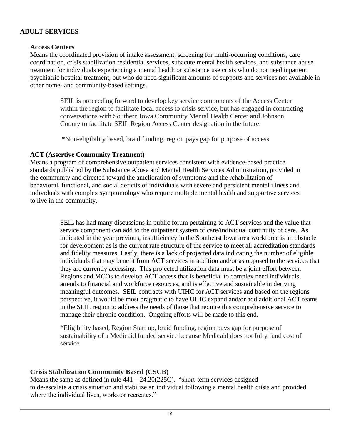#### **ADULT SERVICES**

#### **Access Centers**

Means the coordinated provision of intake assessment, screening for multi-occurring conditions, care coordination, crisis stabilization residential services, subacute mental health services, and substance abuse treatment for individuals experiencing a mental health or substance use crisis who do not need inpatient psychiatric hospital treatment, but who do need significant amounts of supports and services not available in other home- and community-based settings.

> SEIL is proceeding forward to develop key service components of the Access Center within the region to facilitate local access to crisis service, but has engaged in contracting conversations with Southern Iowa Community Mental Health Center and Johnson County to facilitate SEIL Region Access Center designation in the future.

\*Non-eligibility based, braid funding, region pays gap for purpose of access

## **ACT (Assertive Community Treatment)**

Means a program of comprehensive outpatient services consistent with evidence-based practice standards published by the Substance Abuse and Mental Health Services Administration, provided in the community and directed toward the amelioration of symptoms and the rehabilitation of behavioral, functional, and social deficits of individuals with severe and persistent mental illness and individuals with complex symptomology who require multiple mental health and supportive services to live in the community.

> SEIL has had many discussions in public forum pertaining to ACT services and the value that service component can add to the outpatient system of care/individual continuity of care. As indicated in the year previous, insufficiency in the Southeast Iowa area workforce is an obstacle for development as is the current rate structure of the service to meet all accreditation standards and fidelity measures. Lastly, there is a lack of projected data indicating the number of eligible individuals that may benefit from ACT services in addition and/or as opposed to the services that they are currently accessing. This projected utilization data must be a joint effort between Regions and MCOs to develop ACT access that is beneficial to complex need individuals, attends to financial and workforce resources, and is effective and sustainable in deriving meaningful outcomes. SEIL contracts with UIHC for ACT services and based on the regions perspective, it would be most pragmatic to have UIHC expand and/or add additional ACT teams in the SEIL region to address the needs of those that require this comprehensive service to manage their chronic condition. Ongoing efforts will be made to this end.

\*Eligibility based, Region Start up, braid funding, region pays gap for purpose of sustainability of a Medicaid funded service because Medicaid does not fully fund cost of service

## **Crisis Stabilization Community Based (CSCB)**

Means the same as defined in rule 441—24.20(225C). "short-term services designed to de-escalate a crisis situation and stabilize an individual following a mental health crisis and provided where the individual lives, works or recreates."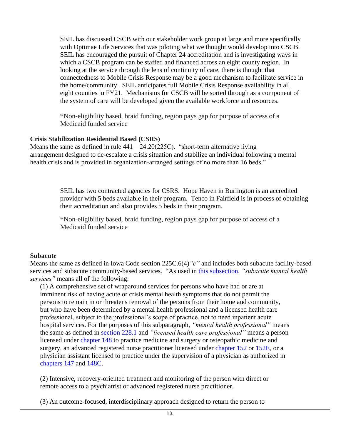SEIL has discussed CSCB with our stakeholder work group at large and more specifically with Optimae Life Services that was piloting what we thought would develop into CSCB. SEIL has encouraged the pursuit of Chapter 24 accreditation and is investigating ways in which a CSCB program can be staffed and financed across an eight county region. In looking at the service through the lens of continuity of care, there is thought that connectedness to Mobile Crisis Response may be a good mechanism to facilitate service in the home/community. SEIL anticipates full Mobile Crisis Response availability in all eight counties in FY21. Mechanisms for CSCB will be sorted through as a component of the system of care will be developed given the available workforce and resources.

\*Non-eligibility based, braid funding, region pays gap for purpose of access of a Medicaid funded service

#### **Crisis Stabilization Residential Based (CSRS)**

Means the same as defined in rule 441—24.20(225C). "short-term alternative living arrangement designed to de-escalate a crisis situation and stabilize an individual following a mental health crisis and is provided in organization-arranged settings of no more than 16 beds."

> SEIL has two contracted agencies for CSRS. Hope Haven in Burlington is an accredited provider with 5 beds available in their program. Tenco in Fairfield is in process of obtaining their accreditation and also provides 5 beds in their program.

\*Non-eligibility based, braid funding, region pays gap for purpose of access of a Medicaid funded service

#### **Subacute**

Means the same as defined in Iowa Code section 225C.6(4)*"c"* and includes both subacute facility-based services and subacute community-based services. "As used in this subsection, *"subacute mental health services"* means all of the following:

(1) A comprehensive set of wraparound services for persons who have had or are at imminent risk of having acute or crisis mental health symptoms that do not permit the persons to remain in or threatens removal of the persons from their home and community, but who have been determined by a mental health professional and a licensed health care professional, subject to the professional's scope of practice, not to need inpatient acute hospital services. For the purposes of this subparagraph, *"mental health professional"* means the same as defined in section 228.1 and *"licensed health care professional"* means a person licensed under chapter 148 to practice medicine and surgery or osteopathic medicine and surgery, an advanced registered nurse practitioner licensed under chapter 152 or 152E, or a physician assistant licensed to practice under the supervision of a physician as authorized in chapters 147 and 148C.

(2) Intensive, recovery-oriented treatment and monitoring of the person with direct or remote access to a psychiatrist or advanced registered nurse practitioner.

(3) An outcome-focused, interdisciplinary approach designed to return the person to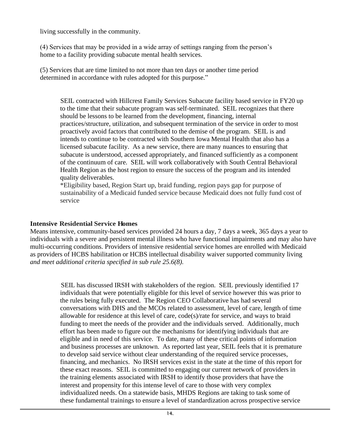living successfully in the community.

(4) Services that may be provided in a wide array of settings ranging from the person's home to a facility providing subacute mental health services.

(5) Services that are time limited to not more than ten days or another time period determined in accordance with rules adopted for this purpose."

SEIL contracted with Hillcrest Family Services Subacute facility based service in FY20 up to the time that their subacute program was self-terminated. SEIL recognizes that there should be lessons to be learned from the development, financing, internal practices/structure, utilization, and subsequent termination of the service in order to most proactively avoid factors that contributed to the demise of the program. SEIL is and intends to continue to be contracted with Southern Iowa Mental Health that also has a licensed subacute facility. As a new service, there are many nuances to ensuring that subacute is understood, accessed appropriately, and financed sufficiently as a component of the continuum of care. SEIL will work collaboratively with South Central Behavioral Health Region as the host region to ensure the success of the program and its intended quality deliverables.

\*Eligibility based, Region Start up, braid funding, region pays gap for purpose of sustainability of a Medicaid funded service because Medicaid does not fully fund cost of service

#### **Intensive Residential Service Homes**

Means intensive, community-based services provided 24 hours a day, 7 days a week, 365 days a year to individuals with a severe and persistent mental illness who have functional impairments and may also have multi-occurring conditions. Providers of intensive residential service homes are enrolled with Medicaid as providers of HCBS habilitation or HCBS intellectual disability waiver supported community living *and meet additional criteria specified in sub rule 25.6(8).*

> SEIL has discussed IRSH with stakeholders of the region. SEIL previously identified 17 individuals that were potentially eligible for this level of service however this was prior to the rules being fully executed. The Region CEO Collaborative has had several conversations with DHS and the MCOs related to assessment, level of care, length of time allowable for residence at this level of care, code(s)/rate for service, and ways to braid funding to meet the needs of the provider and the individuals served. Additionally, much effort has been made to figure out the mechanisms for identifying individuals that are eligible and in need of this service. To date, many of these critical points of information and business processes are unknown. As reported last year, SEIL feels that it is premature to develop said service without clear understanding of the required service processes, financing, and mechanics. No IRSH services exist in the state at the time of this report for these exact reasons. SEIL is committed to engaging our current network of providers in the training elements associated with IRSH to identify those providers that have the interest and propensity for this intense level of care to those with very complex individualized needs. On a statewide basis, MHDS Regions are taking to task some of these fundamental trainings to ensure a level of standardization across prospective service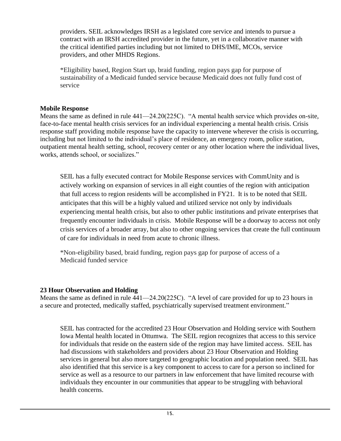providers. SEIL acknowledges IRSH as a legislated core service and intends to pursue a contract with an IRSH accredited provider in the future, yet in a collaborative manner with the critical identified parties including but not limited to DHS/IME, MCOs, service providers, and other MHDS Regions.

\*Eligibility based, Region Start up, braid funding, region pays gap for purpose of sustainability of a Medicaid funded service because Medicaid does not fully fund cost of service

#### **Mobile Response**

Means the same as defined in rule 441—24.20(225C). "A mental health service which provides on-site, face-to-face mental health crisis services for an individual experiencing a mental health crisis. Crisis response staff providing mobile response have the capacity to intervene wherever the crisis is occurring, including but not limited to the individual's place of residence, an emergency room, police station, outpatient mental health setting, school, recovery center or any other location where the individual lives, works, attends school, or socializes."

SEIL has a fully executed contract for Mobile Response services with CommUnity and is actively working on expansion of services in all eight counties of the region with anticipation that full access to region residents will be accomplished in FY21. It is to be noted that SEIL anticipates that this will be a highly valued and utilized service not only by individuals experiencing mental health crisis, but also to other public institutions and private enterprises that frequently encounter individuals in crisis. Mobile Response will be a doorway to access not only crisis services of a broader array, but also to other ongoing services that create the full continuum of care for individuals in need from acute to chronic illness.

\*Non-eligibility based, braid funding, region pays gap for purpose of access of a Medicaid funded service

## **23 Hour Observation and Holding**

Means the same as defined in rule 441—24.20(225C). "A level of care provided for up to 23 hours in a secure and protected, medically staffed, psychiatrically supervised treatment environment."

SEIL has contracted for the accredited 23 Hour Observation and Holding service with Southern Iowa Mental health located in Ottumwa. The SEIL region recognizes that access to this service for individuals that reside on the eastern side of the region may have limited access. SEIL has had discussions with stakeholders and providers about 23 Hour Observation and Holding services in general but also more targeted to geographic location and population need. SEIL has also identified that this service is a key component to access to care for a person so inclined for service as well as a resource to our partners in law enforcement that have limited recourse with individuals they encounter in our communities that appear to be struggling with behavioral health concerns.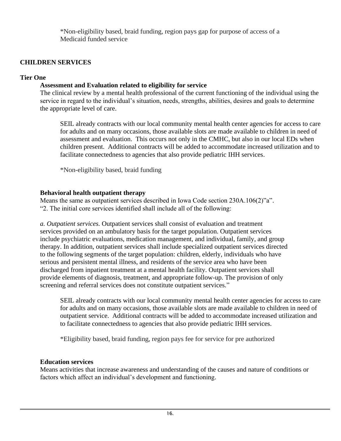\*Non-eligibility based, braid funding, region pays gap for purpose of access of a Medicaid funded service

## **CHILDREN SERVICES**

#### **Tier One**

## **Assessment and Evaluation related to eligibility for service**

The clinical review by a mental health professional of the current functioning of the individual using the service in regard to the individual's situation, needs, strengths, abilities, desires and goals to determine the appropriate level of care.

SEIL already contracts with our local community mental health center agencies for access to care for adults and on many occasions, those available slots are made available to children in need of assessment and evaluation. This occurs not only in the CMHC, but also in our local EDs when children present. Additional contracts will be added to accommodate increased utilization and to facilitate connectedness to agencies that also provide pediatric IHH services.

\*Non-eligibility based, braid funding

#### **Behavioral health outpatient therapy**

Means the same as outpatient services described in Iowa Code section 230A.106(2)"a". "2. The initial core services identified shall include all of the following:

*a. Outpatient services.* Outpatient services shall consist of evaluation and treatment services provided on an ambulatory basis for the target population. Outpatient services include psychiatric evaluations, medication management, and individual, family, and group therapy. In addition, outpatient services shall include specialized outpatient services directed to the following segments of the target population: children, elderly, individuals who have serious and persistent mental illness, and residents of the service area who have been discharged from inpatient treatment at a mental health facility. Outpatient services shall provide elements of diagnosis, treatment, and appropriate follow-up. The provision of only screening and referral services does not constitute outpatient services."

SEIL already contracts with our local community mental health center agencies for access to care for adults and on many occasions, those available slots are made available to children in need of outpatient service. Additional contracts will be added to accommodate increased utilization and to facilitate connectedness to agencies that also provide pediatric IHH services.

\*Eligibility based, braid funding, region pays fee for service for pre authorized

## **Education services**

Means activities that increase awareness and understanding of the causes and nature of conditions or factors which affect an individual's development and functioning.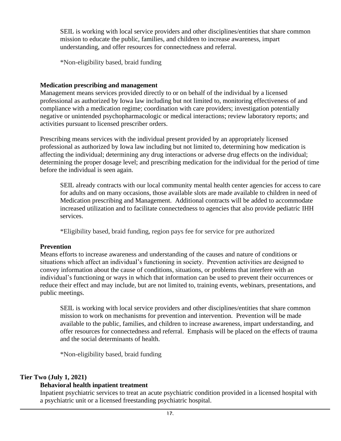SEIL is working with local service providers and other disciplines/entities that share common mission to educate the public, families, and children to increase awareness, impart understanding, and offer resources for connectedness and referral.

\*Non-eligibility based, braid funding

#### **Medication prescribing and management**

Management means services provided directly to or on behalf of the individual by a licensed professional as authorized by Iowa law including but not limited to, monitoring effectiveness of and compliance with a medication regime; coordination with care providers; investigation potentially negative or unintended psychopharmacologic or medical interactions; review laboratory reports; and activities pursuant to licensed prescriber orders.

Prescribing means services with the individual present provided by an appropriately licensed professional as authorized by Iowa law including but not limited to, determining how medication is affecting the individual; determining any drug interactions or adverse drug effects on the individual; determining the proper dosage level; and prescribing medication for the individual for the period of time before the individual is seen again.

SEIL already contracts with our local community mental health center agencies for access to care for adults and on many occasions, those available slots are made available to children in need of Medication prescribing and Management. Additional contracts will be added to accommodate increased utilization and to facilitate connectedness to agencies that also provide pediatric IHH services.

\*Eligibility based, braid funding, region pays fee for service for pre authorized

## **Prevention**

Means efforts to increase awareness and understanding of the causes and nature of conditions or situations which affect an individual's functioning in society. Prevention activities are designed to convey information about the cause of conditions, situations, or problems that interfere with an individual's functioning or ways in which that information can be used to prevent their occurrences or reduce their effect and may include, but are not limited to, training events, webinars, presentations, and public meetings.

SEIL is working with local service providers and other disciplines/entities that share common mission to work on mechanisms for prevention and intervention. Prevention will be made available to the public, families, and children to increase awareness, impart understanding, and offer resources for connectedness and referral. Emphasis will be placed on the effects of trauma and the social determinants of health.

\*Non-eligibility based, braid funding

## **Tier Two (July 1, 2021)**

## **Behavioral health inpatient treatment**

Inpatient psychiatric services to treat an acute psychiatric condition provided in a licensed hospital with a psychiatric unit or a licensed freestanding psychiatric hospital.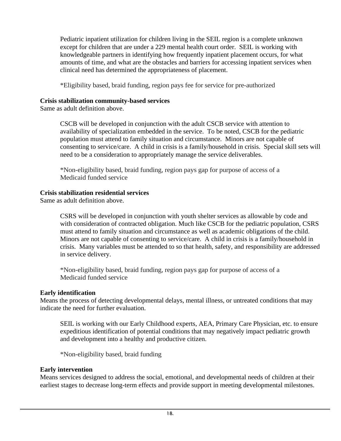Pediatric inpatient utilization for children living in the SEIL region is a complete unknown except for children that are under a 229 mental health court order. SEIL is working with knowledgeable partners in identifying how frequently inpatient placement occurs, for what amounts of time, and what are the obstacles and barriers for accessing inpatient services when clinical need has determined the appropriateness of placement.

\*Eligibility based, braid funding, region pays fee for service for pre-authorized

#### **Crisis stabilization community-based services**

Same as adult definition above.

CSCB will be developed in conjunction with the adult CSCB service with attention to availability of specialization embedded in the service. To be noted, CSCB for the pediatric population must attend to family situation and circumstance. Minors are not capable of consenting to service/care. A child in crisis is a family/household in crisis. Special skill sets will need to be a consideration to appropriately manage the service deliverables.

\*Non-eligibility based, braid funding, region pays gap for purpose of access of a Medicaid funded service

## **Crisis stabilization residential services**

Same as adult definition above.

CSRS will be developed in conjunction with youth shelter services as allowable by code and with consideration of contracted obligation. Much like CSCB for the pediatric population, CSRS must attend to family situation and circumstance as well as academic obligations of the child. Minors are not capable of consenting to service/care. A child in crisis is a family/household in crisis. Many variables must be attended to so that health, safety, and responsibility are addressed in service delivery.

\*Non-eligibility based, braid funding, region pays gap for purpose of access of a Medicaid funded service

#### **Early identification**

Means the process of detecting developmental delays, mental illness, or untreated conditions that may indicate the need for further evaluation.

SEIL is working with our Early Childhood experts, AEA, Primary Care Physician, etc. to ensure expeditious identification of potential conditions that may negatively impact pediatric growth and development into a healthy and productive citizen.

\*Non-eligibility based, braid funding

## **Early intervention**

Means services designed to address the social, emotional, and developmental needs of children at their earliest stages to decrease long-term effects and provide support in meeting developmental milestones.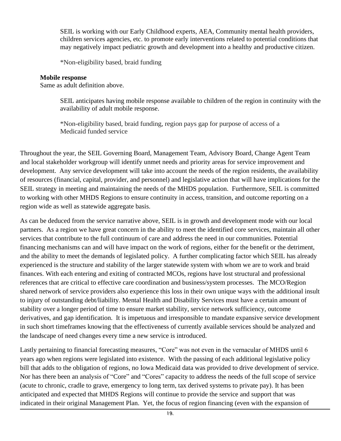SEIL is working with our Early Childhood experts, AEA, Community mental health providers, children services agencies, etc. to promote early interventions related to potential conditions that may negatively impact pediatric growth and development into a healthy and productive citizen.

\*Non-eligibility based, braid funding

#### **Mobile response**

Same as adult definition above.

SEIL anticipates having mobile response available to children of the region in continuity with the availability of adult mobile response.

\*Non-eligibility based, braid funding, region pays gap for purpose of access of a Medicaid funded service

Throughout the year, the SEIL Governing Board, Management Team, Advisory Board, Change Agent Team and local stakeholder workgroup will identify unmet needs and priority areas for service improvement and development. Any service development will take into account the needs of the region residents, the availability of resources (financial, capital, provider, and personnel) and legislative action that will have implications for the SEIL strategy in meeting and maintaining the needs of the MHDS population. Furthermore, SEIL is committed to working with other MHDS Regions to ensure continuity in access, transition, and outcome reporting on a region wide as well as statewide aggregate basis.

As can be deduced from the service narrative above, SEIL is in growth and development mode with our local partners. As a region we have great concern in the ability to meet the identified core services, maintain all other services that contribute to the full continuum of care and address the need in our communities. Potential financing mechanisms can and will have impact on the work of regions, either for the benefit or the detriment, and the ability to meet the demands of legislated policy. A further complicating factor which SEIL has already experienced is the structure and stability of the larger statewide system with whom we are to work and braid finances. With each entering and exiting of contracted MCOs, regions have lost structural and professional references that are critical to effective care coordination and business/system processes. The MCO/Region shared network of service providers also experience this loss in their own unique ways with the additional insult to injury of outstanding debt/liability. Mental Health and Disability Services must have a certain amount of stability over a longer period of time to ensure market stability, service network sufficiency, outcome derivatives, and gap identification. It is impetuous and irresponsible to mandate expansive service development in such short timeframes knowing that the effectiveness of currently available services should be analyzed and the landscape of need changes every time a new service is introduced.

Lastly pertaining to financial forecasting measures, "Core" was not even in the vernacular of MHDS until 6 years ago when regions were legislated into existence. With the passing of each additional legislative policy bill that adds to the obligation of regions, no Iowa Medicaid data was provided to drive development of service. Nor has there been an analysis of "Core" and "Cores" capacity to address the needs of the full scope of service (acute to chronic, cradle to grave, emergency to long term, tax derived systems to private pay). It has been anticipated and expected that MHDS Regions will continue to provide the service and support that was indicated in their original Management Plan. Yet, the focus of region financing (even with the expansion of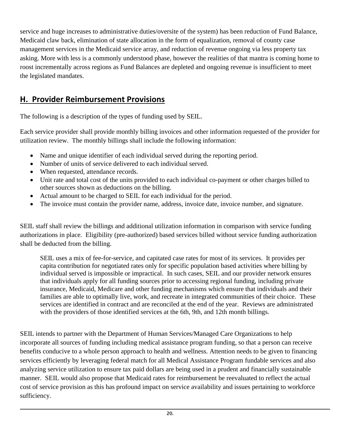service and huge increases to administrative duties/oversite of the system) has been reduction of Fund Balance, Medicaid claw back, elimination of state allocation in the form of equalization, removal of county case management services in the Medicaid service array, and reduction of revenue ongoing via less property tax asking. More with less is a commonly understood phase, however the realities of that mantra is coming home to roost incrementally across regions as Fund Balances are depleted and ongoing revenue is insufficient to meet the legislated mandates.

# <span id="page-20-0"></span>**H. Provider Reimbursement Provisions**

The following is a description of the types of funding used by SEIL.

Each service provider shall provide monthly billing invoices and other information requested of the provider for utilization review. The monthly billings shall include the following information:

- Name and unique identifier of each individual served during the reporting period.
- Number of units of service delivered to each individual served.
- When requested, attendance records.
- Unit rate and total cost of the units provided to each individual co-payment or other charges billed to other sources shown as deductions on the billing.
- Actual amount to be charged to SEIL for each individual for the period.
- The invoice must contain the provider name, address, invoice date, invoice number, and signature.

SEIL staff shall review the billings and additional utilization information in comparison with service funding authorizations in place. Eligibility (pre-authorized) based services billed without service funding authorization shall be deducted from the billing.

SEIL uses a mix of fee-for-service, and capitated case rates for most of its services. It provides per capita contribution for negotiated rates only for specific population based activities where billing by individual served is impossible or impractical. In such cases, SEIL and our provider network ensures that individuals apply for all funding sources prior to accessing regional funding, including private insurance, Medicaid, Medicare and other funding mechanisms which ensure that individuals and their families are able to optimally live, work, and recreate in integrated communities of their choice. These services are identified in contract and are reconciled at the end of the year. Reviews are administrated with the providers of those identified services at the 6th, 9th, and 12th month billings.

SEIL intends to partner with the Department of Human Services/Managed Care Organizations to help incorporate all sources of funding including medical assistance program funding, so that a person can receive benefits conducive to a whole person approach to health and wellness. Attention needs to be given to financing services efficiently by leveraging federal match for all Medical Assistance Program fundable services and also analyzing service utilization to ensure tax paid dollars are being used in a prudent and financially sustainable manner. SEIL would also propose that Medicaid rates for reimbursement be reevaluated to reflect the actual cost of service provision as this has profound impact on service availability and issues pertaining to workforce sufficiency.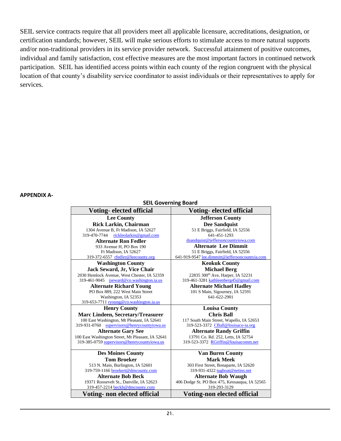SEIL service contracts require that all providers meet all applicable licensure, accreditations, designation, or certification standards; however, SEIL will make serious efforts to stimulate access to more natural supports and/or non-traditional providers in its service provider network. Successful attainment of positive outcomes, individual and family satisfaction, cost effective measures are the most important factors in continued network participation. SEIL has identified access points within each county of the region congruent with the physical location of that county's disability service coordinator to assist individuals or their representatives to apply for services.

#### **APPENDIX A-**

**SEIL Governing Board**

| Voting-elected official                           | <b>Voting-elected official</b>                 |
|---------------------------------------------------|------------------------------------------------|
| <b>Lee County</b>                                 | <b>Jefferson County</b>                        |
| Rick Larkin, Chairman                             | <b>Dee Sandquist</b>                           |
| 1304 Avenue B, Ft Madison, IA 52627               | 51 E Briggs, Fairfield, IA 52556               |
| rickleolarkin@gmail.com<br>319-470-7744           | 641-451-1293                                   |
| <b>Alternate Ron Fedler</b>                       | dsandquist@jeffersoncountyiowa.com             |
| 933 Avenue H, PO Box 190                          | <b>Alternate Lee Dimmit</b>                    |
| Ft Madison, IA 52627                              | 51 E Briggs, Fairfield, IA 52556               |
| 319-372-6557 rfedler@leecounty.org                | 641-919-9547 lee.dimmitt@jeffersoncountyia.com |
| <b>Washington County</b>                          | <b>Keokuk County</b>                           |
| Jack Seward, Jr, Vice Chair                       | <b>Michael Berg</b>                            |
| 2030 Hemlock Avenue, West Chester, IA 52359       | 22835 300 <sup>th</sup> Ave, Harper, IA 52231  |
| 319-461-9045 jseward@co.washington.ia.us          | 319-461-3281 kathleenberg45@gmail.com          |
| <b>Alternate Richard Young</b>                    | <b>Alternate Michael Hadley</b>                |
| PO Box 889, 222 West Main Street                  | 101 S Main, Sigourney, IA 52591                |
| Washington, IA 52353                              | 641-622-2901                                   |
| 319-653-7711 ryoung@co.washington.ia.us           |                                                |
| <b>Henry County</b>                               | <b>Louisa County</b>                           |
| Marc Lindeen, Secretary/Treasurer                 | <b>Chris Ball</b>                              |
| 100 East Washington, Mt Pleasant, IA 52641        | 117 South Main Street, Wapello, IA 52653       |
| 319-931-0760 supervisors@henrycountyiowa.us       | 319-523-3372 CBall@louisaco-ia.org             |
| <b>Alternate Gary See</b>                         | <b>Alternate Randy Griffin</b>                 |
| 100 East Washington Street, Mt Pleasant, IA 52641 | 13791 Co. Rd. 252, Letts, IA 52754             |
| 319-385-0759 supervisors@henrycountyiowa.us       | 319-523-3372 RGriffin@louisacomm.net           |
| <b>Des Moines County</b>                          | <b>Van Buren County</b>                        |
| <b>Tom Broeker</b>                                | <b>Mark Meek</b>                               |
| 513 N. Main, Burlington, IA 52601                 | 303 First Street, Bonaparte, IA 52620          |
| 319-759-1166 broekert@dmcounty.com                | 319-931-4322 tugboat@netins.net                |
| <b>Alternate Bob Beck</b>                         | <b>Alternate Bob Waugh</b>                     |
| 19371 Roosevelt St., Danville, IA 52623           | 406 Dodge St. PO Box 475, Keosauqua, IA 52565  |
| 319-457-2214 beckb@dmcounty.com                   | 319-293-3129                                   |
| Voting- non elected official                      | Voting-non elected official                    |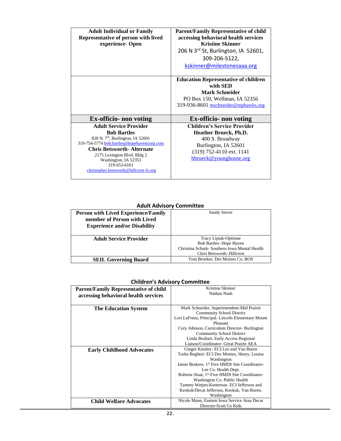| <b>Adult Individual or Family</b>                      | <b>Parent/Family Representative of child</b>    |
|--------------------------------------------------------|-------------------------------------------------|
| Representative of person with lived                    | accessing behavioral health services            |
| experience-Open                                        | <b>Kristine Skinner</b>                         |
|                                                        | 206 N 3 <sup>rd</sup> St, Burlington, IA 52601, |
|                                                        | 309-206-5122,                                   |
|                                                        | kskinner@milestonesaaa.org                      |
|                                                        | <b>Education Representative of children</b>     |
|                                                        | with SED                                        |
|                                                        | Mark Schneider                                  |
|                                                        | PO Box 150, Wellman, IA 52356                   |
|                                                        |                                                 |
|                                                        | 319-936-8601 mschneider@mphawks.org             |
|                                                        |                                                 |
| <b>Ex-officio-</b> non voting                          | <b>Ex-officio-</b> non voting                   |
| <b>Adult Service Provider</b>                          | <b>Children's Service Provider</b>              |
| <b>Bob Bartles</b>                                     | <b>Heather Brueck, Ph.D.</b>                    |
| 828 N. 7 <sup>th</sup> , Burlington, IA 52601          | 400 S. Broadway                                 |
| 319-754-5774 bob.bartles@hopehavencorp.com             | Burlington, IA 52601                            |
| <b>Chris Betsworth-Alternate</b>                       |                                                 |
| 2175 Lexington Blvd, Bldg 2                            | (319) 752-4110 ext. 1141                        |
| Washington, IA 52353                                   | hbrueck@younghouse.org                          |
| 319-653-6161<br>christopher.betsworth@hillcrest-fs.org |                                                 |

#### **Adult Advisory Committee**

| <b>Person with Lived Experience/Family</b><br>member of Person with Lived<br><b>Experience and/or Disability</b> | Sandy Stever                                                                                            |
|------------------------------------------------------------------------------------------------------------------|---------------------------------------------------------------------------------------------------------|
| <b>Adult Service Provider</b>                                                                                    | Tracy Liptak-Optimae<br><b>Bob Bartles-Hope Haven</b><br>Christina Schark - Southern Iowa Mental Health |
|                                                                                                                  | Chris Betsworth-Hillcrest                                                                               |
| <b>SEIL Governing Board</b>                                                                                      | Tom Broeker, Des Moines Co. BOS                                                                         |

#### **Children's Advisory Committee**

| <b>Parent/Family Representative of child</b><br>accessing behavioral health services | Kristine Skinner<br>Nathan Nash                                                                                                                                                                                                                                                                                                                                                                 |
|--------------------------------------------------------------------------------------|-------------------------------------------------------------------------------------------------------------------------------------------------------------------------------------------------------------------------------------------------------------------------------------------------------------------------------------------------------------------------------------------------|
| <b>The Education System</b>                                                          | Mark Schneider, Superintendent-Mid Prairie<br><b>Community School District</b><br>Lori LaFrenz, Principal-Lincoln Elementary Mount<br>Pleasant<br>Cory Johnson, Curriculum Director-Burlington<br><b>Community School District</b><br>Linda Boshart, Early Access Regional<br>Liaison/Coordinator- Great Prairie AEA                                                                            |
| <b>Early Childhood Advocates</b>                                                     | Ginger Knisley- ECI Lee and Van Buren<br>Tasha Beghtol- ECI Des Moines, Henry, Louisa<br>Washington<br>Jamie Beskow, 1 <sup>st</sup> Five HMDI Site Coordinator-<br>Lee Co. Health Dept.<br>Roberta Sloat, 1 <sup>st</sup> Five HMDI Site Coordinator-<br>Washington Co. Public Health<br>Tammy Wetjen-Kesterson- ECI Jefferson and<br>Keokuk/Decat Jefferson, Keokuk, Van Buren,<br>Washington |
| <b>Child Welfare Advocates</b>                                                       | Nicole Mann, Eastern Iowa Service Area Decat<br>Director-Scott Co Kids                                                                                                                                                                                                                                                                                                                          |